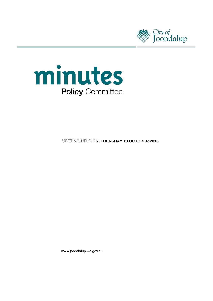



**MEETING HELD ON THURSDAY 13 OCTOBER 2016** 

www.joondalup.wa.gov.au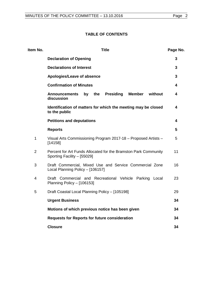# **TABLE OF CONTENTS**

| Item No.       | <b>Title</b>                                                                                   | Page No. |
|----------------|------------------------------------------------------------------------------------------------|----------|
|                | <b>Declaration of Opening</b>                                                                  | 3        |
|                | <b>Declarations of Interest</b>                                                                | 3        |
|                | Apologies/Leave of absence                                                                     | 3        |
|                | <b>Confirmation of Minutes</b>                                                                 | 4        |
|                | by the<br><b>Presiding</b><br><b>Member</b><br>without<br><b>Announcements</b><br>discussion   | 4        |
|                | Identification of matters for which the meeting may be closed<br>to the public                 | 4        |
|                | <b>Petitions and deputations</b>                                                               | 4        |
|                | <b>Reports</b>                                                                                 | 5        |
| $\mathbf{1}$   | Visual Arts Commissioning Program 2017-18 - Proposed Artists -<br>[14158]                      | 5        |
| $\overline{2}$ | Percent for Art Funds Allocated for the Bramston Park Community<br>Sporting Facility - [55029] | 11       |
| 3              | Draft Commercial, Mixed Use and Service Commercial Zone<br>Local Planning Policy - [106157]    | 16       |
| $\overline{4}$ | Draft Commercial and Recreational Vehicle Parking Local<br>Planning Policy - [106153]          | 23       |
| 5              | Draft Coastal Local Planning Policy - [105198]                                                 | 29       |
|                | <b>Urgent Business</b>                                                                         | 34       |
|                | Motions of which previous notice has been given                                                | 34       |
|                | <b>Requests for Reports for future consideration</b>                                           | 34       |
|                | <b>Closure</b>                                                                                 | 34       |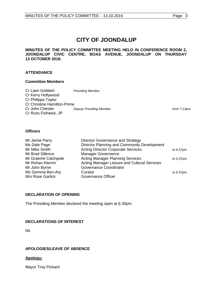**MINUTES OF THE POLICY COMMITTEE MEETING HELD IN CONFERENCE ROOM 2, JOONDALUP CIVIC CENTRE, BOAS AVENUE, JOONDALUP ON THURSDAY 13 OCTOBER 2016.**

# **ATTENDANCE**

#### **Committee Members**

| Cr Liam Gobbert                    | <b>Presiding Member</b>        |                 |
|------------------------------------|--------------------------------|-----------------|
| Cr Kerry Hollywood                 |                                |                 |
| Cr Philippa Taylor                 |                                |                 |
| <b>Cr Christine Hamilton-Prime</b> |                                |                 |
| Cr John Chester                    | <b>Deputy Presiding Member</b> | from $7.13pm$ . |
| Cr Russ Fishwick, JP               |                                |                 |

#### **Officers**

| Mr Jamie Parry<br>Ms Dale Page | Director Governance and Strategy<br>Director Planning and Community Development |            |
|--------------------------------|---------------------------------------------------------------------------------|------------|
| Mr Mike Smith                  | <b>Acting Director Corporate Services</b>                                       | to 6.57pm. |
| Mr Brad Sillence               | Manager Governance                                                              |            |
| Mr Graeme Catchpole            | <b>Acting Manager Planning Services</b>                                         | to 6.57pm. |
| Mr Rohan Klemm                 | Acting Manager Leisure and Cultural Services                                    |            |
| Mr John Byrne                  | Governance Coordinator                                                          |            |
| Ms Gemma Ben-Ary               | Curator                                                                         | to 6.57pm. |
| Mrs Rose Garlick               | Governance Officer                                                              |            |

# <span id="page-2-0"></span>**DECLARATION OF OPENING**

The Presiding Member declared the meeting open at 6.30pm.

# <span id="page-2-1"></span>**DECLARATIONS OF INTEREST**

Nil.

# <span id="page-2-2"></span>**APOLOGIES/LEAVE OF ABSENCE**

# **Apology:**

Mayor Troy Pickard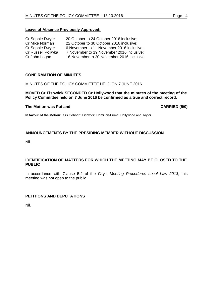# **Leave of Absence Previously Approved:**

| 20 October to 24 October 2016 inclusive;   |
|--------------------------------------------|
| 22 October to 30 October 2016 inclusive;   |
| 6 November to 11 November 2016 inclusive;  |
| 7 November to 19 November 2016 inclusive;  |
| 16 November to 20 November 2016 inclusive. |
|                                            |

# <span id="page-3-0"></span>**CONFIRMATION OF MINUTES**

#### MINUTES OF THE POLICY COMMITTEE HELD ON 7 JUNE 2016

**MOVED Cr Fishwick SECONDED Cr Hollywood that the minutes of the meeting of the Policy Committee held on 7 June 2016 be confirmed as a true and correct record.**

#### **The Motion was Put and CARRIED (5/0)**

**In favour of the Motion:** Crs Gobbert, Fishwick, Hamilton-Prime, Hollywood and Taylor.

# <span id="page-3-1"></span>**ANNOUNCEMENTS BY THE PRESIDING MEMBER WITHOUT DISCUSSION**

Nil.

# <span id="page-3-2"></span>**IDENTIFICATION OF MATTERS FOR WHICH THE MEETING MAY BE CLOSED TO THE PUBLIC**

In accordance with Clause 5.2 of the City's *Meeting Procedures Local Law 2013*, this meeting was not open to the public.

# <span id="page-3-3"></span>**PETITIONS AND DEPUTATIONS**

Nil.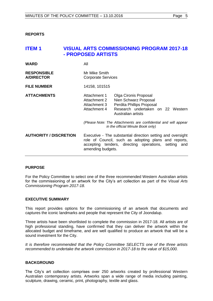<span id="page-4-0"></span>**REPORTS** 

# <span id="page-4-1"></span>**ITEM 1 VISUAL ARTS COMMISSIONING PROGRAM 2017-18 - PROPOSED ARTISTS**

| <b>WARD</b>                             | All                                                                                                                                                                                              |                                                                                                                                        |
|-----------------------------------------|--------------------------------------------------------------------------------------------------------------------------------------------------------------------------------------------------|----------------------------------------------------------------------------------------------------------------------------------------|
| <b>RESPONSIBLE</b><br><b>A/DIRECTOR</b> | Mr Mike Smith<br><b>Corporate Services</b>                                                                                                                                                       |                                                                                                                                        |
| <b>FILE NUMBER</b>                      | 14158, 101515                                                                                                                                                                                    |                                                                                                                                        |
| <b>ATTACHMENTS</b>                      | Attachment 1<br>Attachment 2<br>Attachment 3<br>Attachment 4                                                                                                                                     | Olga Cironis Proposal<br>Nien Schwarz Proposal<br>Perdita Phillips Proposal<br>Research undertaken on 22 Western<br>Australian artists |
|                                         |                                                                                                                                                                                                  | (Please Note: The Attachments are confidential and will appear<br>in the official Minute Book only)                                    |
| <b>AUTHORITY / DISCRETION</b>           | Executive - The substantial direction setting and oversight<br>role of Council, such as adopting plans and reports,<br>accepting tenders, directing operations, setting and<br>amending budgets. |                                                                                                                                        |

# **PURPOSE**

For the Policy Committee to select one of the three recommended Western Australian artists for the commissioning of an artwork for the City's art collection as part of the *Visual Arts Commissioning Program 2017-18*.

# **EXECUTIVE SUMMARY**

This report provides options for the commissioning of an artwork that documents and captures the iconic landmarks and people that represent the City of Joondalup.

Three artists have been shortlisted to complete the commission in 2017-18. All artists are of high professional standing, have confirmed that they can deliver the artwork within the allocated budget and timeframe, and are well qualified to produce an artwork that will be a sound investment for the City.

*It is therefore recommended that the Policy Committee SELECTS one of the three artists recommended to undertake the artwork commission in 2017-18 to the value of \$15,000.*

# **BACKGROUND**

The City's art collection comprises over 250 artworks created by professional Western Australian contemporary artists. Artworks span a wide range of media including painting, sculpture, drawing, ceramic, print, photography, textile and glass.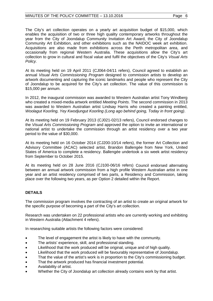The City's art collection operates on a yearly art acquisition budget of \$15,000, which enables the acquisition of two or three high quality contemporary artworks throughout the year from the City of Joondalup Community Invitation Art Award, the City of Joondalup Community Art Exhibition, and other exhibitions such as the NAIDOC week art exhibition. Acquisitions are also made from exhibitions across the Perth metropolitan area, and occasionally from regional Western Australia. These acquisitions allow the City's art collection to grow in cultural and fiscal value and fulfil the objectives of the City's *Visual Arts Policy.*

At its meeting held on 19 April 2011 (CJ064-04/11 refers), Council agreed to establish an annual *Visual Arts Commissioning Program* designed to commission artists to develop an artwork documenting and capturing the iconic landmarks and people who represent the City of Joondalup to be acquired for the City's art collection. The value of this commission is \$15,000 per annum.

In 2012, the inaugural commission was awarded to Western Australian artist Tony Windberg who created a mixed-media artwork entitled *Meeting Points*. The second commission in 2013 was awarded to Western Australian artist Lindsay Harris who created a painting entitled, *Woolagut Koorling, Yey Kwodjungut Koorling (Long ago behind going, Today in front going)*.

At its meeting held on 19 February 2013 (CJ021-02/13 refers), Council endorsed changes to the *Visual Arts Commissioning Program* and approved the option to invite an international or national artist to undertake the commission through an artist residency over a two year period to the value of \$30,000.

At its meeting held on 16 October 2014 (CJ200-10/14 refers), the former Art Collection and Advisory Committee (ACAC) selected artist, Brandon Ballengée from New York, United States of America to complete a residency. Ballengée undertook a six week artist residency from September to October 2015.

At its meeting held on 28 June 2016 (CJ100-06/16 refers) Council endorsed alternating between an annual artwork commission from a high profile Western Australian artist in one year and an artist residency comprised of two parts, a Residency and Commission, taking place over the following two years, as per Option 2 detailed within the Report.

# **DETAILS**

The commission program involves the contracting of an artist to create an original artwork for the specific purpose of becoming a part of the City's art collection.

Research was undertaken on 22 professional artists who are currently working and exhibiting in Western Australia (Attachment 4 refers).

In researching suitable artists the following factors were considered:

- The level of engagement the artist is likely to have with the community.
- The artists' experience, skill, and professional standing.
- Likelihood that the work produced will be original, unique and of high quality.
- Likelihood that the work produced will be favourably representative of Joondalup.
- That the value of the artist's work is in proportion to the City's commissioning budget.
- That the artwork produced has financial investment potential.
- Availability of artist.
- Whether the City of Joondalup art collection already contains work by that artist.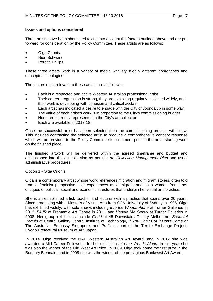#### **Issues and options considered**

Three artists have been shortlisted taking into account the factors outlined above and are put forward for consideration by the Policy Committee. These artists are as follows:

- Olga Cironis.
- Nien Schwarz.
- Perdita Philips.

These three artists work in a variety of media with stylistically different approaches and conceptual ideologies.

The factors most relevant to these artists are as follows:

- Each is a respected and active Western Australian professional artist.
- Their career progression is strong, they are exhibiting regularly, collected widely, and their work is developing with cohesion and critical acclaim.
- Each artist has indicated a desire to engage with the City of Joondalup in some way.
- The value of each artist's work is in proportion to the City's commissioning budget.
- None are currently represented in the City's art collection.
- Each are available in 2017-18.

Once the successful artist has been selected then the commissioning process will follow. This includes contracting the selected artist to produce a comprehensive concept response which will be provided to the Policy Committee for comment prior to the artist starting work on the finished piece.

The finished artwork will be delivered within the agreed timeframe and budget and accessioned into the art collection as per the *Art Collection Management Plan* and usual administrative procedures.

#### Option 1 - Olga Cironis

Olga is a contemporary artist whose work references migration and migrant stories, often told from a feminist perspective. Her experiences as a migrant and as a woman frame her critiques of political, social and economic structures that underpin her visual arts practise.

She is an established artist, teacher and lecturer with a practice that spans over 20 years. Since graduating with a Masters of Visual Arts from SCA University of Sydney in 1996, Olga has exhibited widely, with solo shows including *Into the Woods Alone* at Turner Galleries in 2013, *FAJR* at Fremantle Art Centre in 2011, and *Handle Me Gently* at Turner Galleries in 2008. Her group exhibitions include *Florid* at 45 Downstairs Gallery Melbourne, *Beautiful Vermin* at Central Gallery Central Institute of Technology, *If You Can't Cut it Don't Come* at The Australian Embassy Singapore, and *Prefix* as part of the Textile Exchange Project, Hyogo Prefectural Museum of Art, Japan.

In 2014, Olga received the NAB Western Australian Art Award, and in 2012 she was awarded a Mid Career Fellowship for her exhibition *Into the Woods Alone*. In this year she was also the winner of the Mid West Art Prize. In 2009, Olga took home the first prize in the Bunbury Biennale, and in 2008 she was the winner of the prestigious Bankwest Art Award.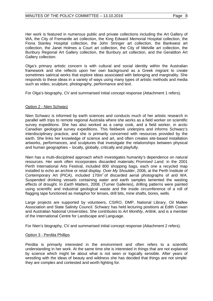Her work is featured in numerous public and private collections including the Art Gallery of WA, the City of Fremantle art collection, the King Edward Memorial Hospital collection, the Fiona Stanley Hospital collection, the John Stringer art collection, the Bankwest art collection, the Janet Holmes a Court art collection, the City of Melville art collection, the Bunbury Regional Art Gallery collection, the Bunbury art collection, and the Geraldton Art Gallery collection.

Olga's primary artistic concern is with cultural and social identity within the Australian framework and she reflects upon her own background as a Greek migrant to create sometimes satirical works that explore ideas associated with belonging and marginality. She responds to these ideas in a variety of ways using many types of artistic methods and media such as video, sculpture, photography, performance and text.

For Olga's biography, CV and summarised initial concept response (Attachment 1 refers).

# Option 2 - Nien Schwarz

Nien Schwarz is informed by earth sciences and conducts much of her artistic research in parallel with trips to remote regional Australia where she works as a field worker on scientific survey expeditions. She has also worked as a camp cook, and a field worker, in arctic Canadian geological survey expeditions. This fieldwork underpins and informs Schwarz's interdisciplinary practice, and she is primarily concerned with resources provided by the earth. She links her knowledge of science and art, and often creates site-based installation artworks, performances, and sculptures that investigate the relationships between physical and human geographies – locally, globally, critically and playfully.

Nien has a multi-disciplined approach which investigates humanity's dependence on natural resources. Her work often incorporates discarded materials; *Promised Land*, in the 2001 Perth International Arts Festival, included 800 shopping bags, each one a recycled map installed to echo an archive or retail display. *Over My Shoulder*, 2006, at the Perth Institute of Contemporary Art (PICA), included  $170m^2$  of discarded aerial photographs of arid WA. Suspended drinking vessels containing water and earth samples lamented the wasting effects of drought. In *Earth Matters*, 2008, (Turner Galleries), drilling patterns were painted using scientific and industrial geological waste and the inside circumference of a roll of flagging tape functioned as metaphor for lenses, drill bits, mine shafts, bores, wells.

Large projects are supported by volunteers, CSIRO, DMP, National Library, Oil Mallee Association and State Salinity Council. Schwarz has held lecturing positions at Edith Cowan and Australian National Universities. She contributes to *Art Monthly*, *Artlink*, and is a member of the International Centre for Landscape and Language.

For Nien's biography, CV and summarised initial concept response (Attachment 2 refers).

# Option 3 - Perdita Phillips

Perdita is primarily interested in the environment and often refers to a scientific understanding in her work. At the same time she is interested in things that are not explained by science which might be about what is not seen or logically sensible. After years of wrestling with the ideas of beauty and wildness she has decided that things are not simple: they are complex and contested and worth fighting for.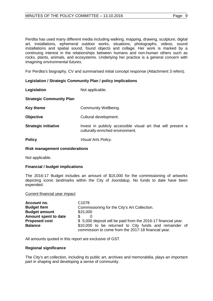Perdita has used many different media including walking, mapping, drawing, sculpture, digital art, installations, ephemeral outdoor works, situations, photographs, videos, sound installations and spatial sound, found objects and collage. Her work is marked by a continuing interest in the relationships between humans and non-human others such as rocks, plants, animals, and ecosystems. Underlying her practice is a general concern with imagining *environmental futures.*

For Perdita's biography, CV and summarised initial concept response (Attachment 3 refers).

# **Legislation / Strategic Community Plan / policy implications**

**Legislation** Not applicable.

#### **Strategic Community Plan**

**Key theme Community Wellbeing.** 

**Objective** Cultural development.

**Strategic initiative Invest in publicly accessible visual art that will present a** culturally-enriched environment.

**Policy** *Visual Arts Policy.*

#### **Risk management considerations**

Not applicable.

# **Financial / budget implications**

The 2016-17 Budget includes an amount of \$15,000 for the commissioning of artworks depicting iconic landmarks within the City of Joondalup. No funds to date have been expended.

#### Current financial year impact

| Account no.          | C <sub>1078</sub>                                                                                             |
|----------------------|---------------------------------------------------------------------------------------------------------------|
| <b>Budget Item</b>   | Commissioning for the City's Art Collection.                                                                  |
| <b>Budget amount</b> | \$15,000                                                                                                      |
| Amount spent to date | \$.                                                                                                           |
| <b>Proposed cost</b> | \$5,000 deposit will be paid from the 2016-17 financial year.                                                 |
| <b>Balance</b>       | \$10,000 to be returned to City funds and remainder of<br>commission to come from the 2017-18 financial year. |

All amounts quoted in this report are exclusive of GST.

#### **Regional significance**

The City's art collection, including its public art, archives and memorabilia, plays an important part in shaping and developing a sense of community.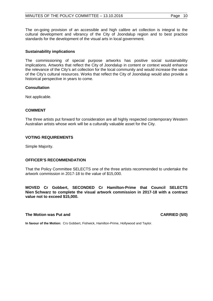The on-going provision of an accessible and high calibre art collection is integral to the cultural development and vibrancy of the City of Joondalup region and to best practice standards for the development of the visual arts in local government.

# **Sustainability implications**

The commissioning of special purpose artworks has positive social sustainability implications. Artworks that reflect the City of Joondalup in content or context would enhance the relevance of the City's art collection for the local community and would increase the value of the City's cultural resources. Works that reflect the City of Joondalup would also provide a historical perspective in years to come.

# **Consultation**

Not applicable.

# **COMMENT**

The three artists put forward for consideration are all highly respected contemporary Western Australian artists whose work will be a culturally valuable asset for the City.

# **VOTING REQUIREMENTS**

Simple Majority.

# **OFFICER'S RECOMMENDATION**

That the Policy Committee SELECTS one of the three artists recommended to undertake the artwork commission in 2017-18 to the value of \$15,000.

**MOVED Cr Gobbert, SECONDED Cr Hamilton-Prime that Council SELECTS Nien Schwarz to complete the visual artwork commission in 2017-18 with a contract value not to exceed \$15,000.** 

# **The Motion was Put and CARRIED (5/0)**

**In favour of the Motion:** Crs Gobbert, Fishwick, Hamilton-Prime, Hollywood and Taylor.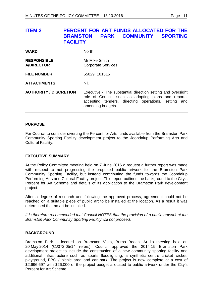# <span id="page-10-0"></span>**ITEM 2 PERCENT FOR ART FUNDS ALLOCATED FOR THE BRAMSTON BRANCH COMMUNITY FACILITY**

| <b>WARD</b>                             | <b>North</b>                                                                                                                                                                                     |
|-----------------------------------------|--------------------------------------------------------------------------------------------------------------------------------------------------------------------------------------------------|
| <b>RESPONSIBLE</b><br><b>A/DIRECTOR</b> | Mr Mike Smith<br><b>Corporate Services</b>                                                                                                                                                       |
| <b>FILE NUMBER</b>                      | 55029, 101515                                                                                                                                                                                    |
| <b>ATTACHMENTS</b>                      | Nil.                                                                                                                                                                                             |
| <b>AUTHORITY / DISCRETION</b>           | Executive - The substantial direction setting and oversight<br>role of Council, such as adopting plans and reports,<br>accepting tenders, directing operations, setting and<br>amending budgets. |

#### **PURPOSE**

For Council to consider diverting the Percent for Arts funds available from the Bramston Park Community Sporting Facility development project to the Joondalup Performing Arts and Cultural Facility.

# **EXECUTIVE SUMMARY**

At the Policy Committee meeting held on 7 June 2016 a request a further report was made with respect to not progressing the proposed public artwork for the Bramston Park Community Sporting Facility, but instead contributing the funds towards the Joondalup Performing Arts and Cultural Facility project. This report outlines the background to the City's Percent for Art Scheme and details of its application to the Bramston Park development project.

After a degree of research and following the approved process, agreement could not be reached on a suitable piece of public art to be installed at the location. As a result it was determined that no art be installed.

*It is therefore recommended that Council NOTES that the provision of a public artwork at the Bramston Park Community Sporting Facility will not proceed.*

# **BACKGROUND**

Bramston Park is located on Bramston Vista, Burns Beach. At its meeting held on 20 May 2014 (CJ072-05/14 refers), Council approved the 2014-15 Bramston Park development project to include the construction of a new community sporting facility and additional infrastructure such as sports floodlighting, a synthetic centre cricket wicket, playground, BBQ / picnic area and car park. The project is now complete at a cost of \$2,696,697 with \$26,000 of the project budget allocated to public artwork under the City's Percent for Art Scheme.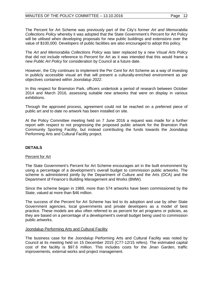The Percent for Art Scheme was previously part of the City's former *Art and Memorabilia Collections Policy* whereby it was adopted that the State Government's Percent for Art Policy will be utilised when developing proposals for new public buildings and extensions over the value of \$100,000. Developers of public facilities are also encouraged to adopt this policy.

The *Art and Memorabilia Collections Policy* was later replaced by a new *Visual Arts Policy* that did not include reference to Percent for Art as it was intended that this would frame a new *Public Art Policy* for consideration by Council at a future date.

However, the City continues to implement the Per Cent for Art Scheme as a way of investing in publicly accessible visual art that will present a culturally-enriched environment as per objectives contained within *Joondalup 2022*.

In this respect for Bramston Park, officers undertook a period of research between October 2014 and March 2016, assessing suitable new artworks that were on display in various exhibitions.

Through the approved process, agreement could not be reached on a preferred piece of public art and to date no artwork has been installed on site.

At the Policy Committee meeting held on 7 June 2016 a request was made for a further report with respect to not progressing the proposed public artwork for the Bramston Park Community Sporting Facility, but instead contributing the funds towards the Joondalup Performing Arts and Cultural Facility project.

# **DETAILS**

# Percent for Art

The State Government's Percent for Art Scheme encourages art in the built environment by using a percentage of a development's overall budget to commission public artworks. The scheme is administered jointly by the Department of Culture and the Arts (DCA) and the Department of Finance's Building Management and Works (BMW).

Since the scheme began in 1989, more than 574 artworks have been commissioned by the State, valued at more than \$46 million.

The success of the Percent for Art Scheme has led to its adoption and use by other State Government agencies, local governments and private developers as a model of best practice. These models are also often referred to as percent for art programs or policies, as they are based on a percentage of a development's overall budget being used to commission public artworks.

# Joondalup Performing Arts and Cultural Facility

The business case for the Joondalup Performing Arts and Cultural Facility was noted by Council at its meeting held on 15 December 2015 (C77-12/15 refers). The estimated capital cost of the facility is \$97.6 million. This includes costs for the Jinan Garden, traffic improvements, external works and project management.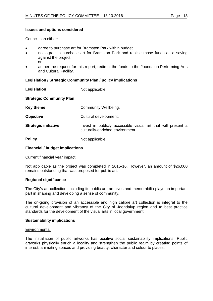#### **Issues and options considered**

Council can either:

- agree to purchase art for Bramston Park within budget
- not agree to purchase art for Bramston Park and realise those funds as a saving against the project or
- as per the request for this report, redirect the funds to the Joondalup Performing Arts and Cultural Facility.

#### **Legislation / Strategic Community Plan / policy implications**

**Legislation** Not applicable.

| <b>Strategic Community Plan</b> |                                                                                                  |
|---------------------------------|--------------------------------------------------------------------------------------------------|
| <b>Key theme</b>                | Community Wellbeing.                                                                             |
| <b>Objective</b>                | Cultural development.                                                                            |
| <b>Strategic initiative</b>     | Invest in publicly accessible visual art that will present a<br>culturally-enriched environment. |
| <b>Policy</b>                   | Not applicable.                                                                                  |

#### **Financial / budget implications**

#### Current financial year impact

Not applicable as the project was completed in 2015-16. However, an amount of \$26,000 remains outstanding that was proposed for public art.

#### **Regional significance**

The City's art collection, including its public art, archives and memorabilia plays an important part in shaping and developing a sense of community.

The on-going provision of an accessible and high calibre art collection is integral to the cultural development and vibrancy of the City of Joondalup region and to best practice standards for the development of the visual arts in local government.

#### **Sustainability implications**

#### **Environmental**

The installation of public artworks has positive social sustainability implications. Public artworks physically enrich a locality and strengthen the public realm by creating points of interest, animating spaces and providing beauty, character and colour to places.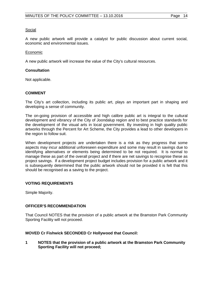#### Social

A new public artwork will provide a catalyst for public discussion about current social, economic and environmental issues.

#### Economic

A new public artwork will increase the value of the City's cultural resources.

#### **Consultation**

Not applicable.

# **COMMENT**

The City's art collection, including its public art, plays an important part in shaping and developing a sense of community.

The on-going provision of accessible and high calibre public art is integral to the cultural development and vibrancy of the City of Joondalup region and to best practice standards for the development of the visual arts in local government. By investing in high quality public artworks through the Percent for Art Scheme, the City provides a lead to other developers in the region to follow suit.

When development projects are undertaken there is a risk as they progress that some aspects may incur additional unforeseen expenditure and some may result in savings due to identifying alternatives or elements being determined to be not required. It is normal to manage these as part of the overall project and if there are net savings to recognise these as project savings. If a development project budget includes provision for a public artwork and it is subsequently determined that the public artwork should not be provided it is felt that this should be recognised as a saving to the project.

# **VOTING REQUIREMENTS**

Simple Majority.

# **OFFICER'S RECOMMENDATION**

That Council NOTES that the provision of a public artwork at the Bramston Park Community Sporting Facility will not proceed.

# **MOVED Cr Fishwick SECONDED Cr Hollywood that Council:**

**1 NOTES that the provision of a public artwork at the Bramston Park Community Sporting Facility will not proceed;**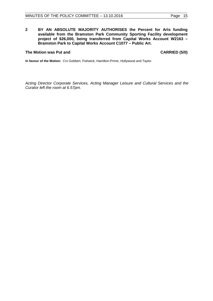**2 BY AN ABSOLUTE MAJORITY AUTHORISES the Percent for Arts funding available from the Bramston Park Community Sporting Facility development project of \$26,000, being transferred from Capital Works Account W2163 – Bramston Park to Capital Works Account C1077 – Public Art.**

# **The Motion was Put and CARRIED (5/0)**

**In favour of the Motion:** Crs Gobbert, Fishwick, Hamilton-Prime, Hollywood and Taylor.

*Acting Director Corporate Services, Acting Manager Leisure and Cultural Services and the Curator left the room at 6.57pm.*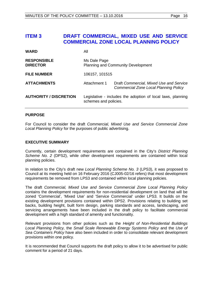# <span id="page-15-0"></span>**ITEM 3 DRAFT COMMERCIAL, MIXED USE AND SERVICE COMMERCIAL ZONE LOCAL PLANNING POLICY**

| <b>WARD</b>                           | All                                                                                  |                                                                                  |
|---------------------------------------|--------------------------------------------------------------------------------------|----------------------------------------------------------------------------------|
| <b>RESPONSIBLE</b><br><b>DIRECTOR</b> | Ms Dale Page<br><b>Planning and Community Development</b>                            |                                                                                  |
| <b>FILE NUMBER</b>                    | 106157, 101515                                                                       |                                                                                  |
| <b>ATTACHMENTS</b>                    | Attachment 1                                                                         | Draft Commercial, Mixed Use and Service<br>Commercial Zone Local Planning Policy |
| <b>AUTHORITY / DISCRETION</b>         | Legislative - includes the adoption of local laws, planning<br>schemes and policies. |                                                                                  |

#### **PURPOSE**

For Council to consider the draft *Commercial, Mixed Use and Service Commercial Zone Local Planning Policy* for the purposes of public advertising.

#### **EXECUTIVE SUMMARY**

Currently, certain development requirements are contained in the City's *District Planning Scheme No. 2* (DPS2), while other development requirements are contained within local planning policies.

In relation to the City's draft new *Local Planning Scheme No. 3* (LPS3), it was proposed to Council at its meeting held on 16 February 2016 (CJ005-02/16 refers) that most development requirements be removed from LPS3 and contained within local planning policies.

The draft *Commercial, Mixed Use and Service Commercial Zone Local Planning Policy* contains the development requirements for non-residential development on land that will be zoned 'Commercial', 'Mixed Use' and 'Service Commercial' under LPS3. It builds on the existing development provisions contained within DPS2. Provisions relating to building set backs, building height, built form design, parking standards and access, landscaping, and servicing arrangements have been included in the draft policy to facilitate commercial development with a high standard of amenity and functionality.

Relevant provisions from other policies such as the *Height of Non-Residential Buildings Local Planning Policy,* the *Small Scale Renewable Energy Systems Policy* and the *Use of Sea Containers Policy* have also been included in order to consolidate relevant development provisions within one policy.

It is recommended that Council supports the draft policy to allow it to be advertised for public comment for a period of 21 days.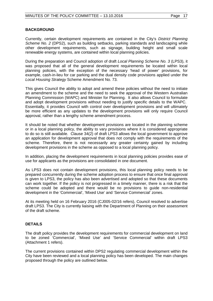# **BACKGROUND**

Currently, certain development requirements are contained in the City's *District Planning Scheme No. 2* (DPS2), such as building setbacks, parking standards and landscaping while other development requirements, such as signage, building height and small scale renewable energy systems, are contained within local planning policies.

During the preparation and Council adoption of draft *Local Planning Scheme No. 3* (LPS3), it was proposed that all of the general development requirements be located within local planning policies, with the exception of the necessary 'head of power' provisions, for example, cash-in-lieu for car parking and the dual density code provisions applied under the *Local Housing Strategy* Scheme Amendment No. 73.

This gives Council the ability to adopt and amend these policies without the need to initiate an amendment to the scheme and the need to seek the approval of the Western Australian Planning Commission (WAPC) and Minister for Planning. It also allows Council to formulate and adopt development provisions without needing to justify specific details to the WAPC. Essentially, it provides Council with control over development provisions and will ultimately be more efficient as any updates to the development provisions will only require Council approval, rather than a lengthy scheme amendment process.

It should be noted that whether development provisions are located in the planning scheme or in a local planning policy, the ability to vary provisions where it is considered appropriate to do so is still available. Clause 34(2) of draft LPS3 allows the local government to approve an application for development approval that does not comply with the requirements of the scheme. Therefore, there is not necessarily any greater certainty gained by including development provisions in the scheme as opposed to a local planning policy.

In addition, placing the development requirements in local planning policies provides ease of use for applicants as the provisions are consolidated in one document.

As LPS3 does not contain development provisions, this local planning policy needs to be prepared concurrently during the scheme adoption process to ensure that once final approval is given to LPS3, the policy has also been advertised and adopted so that these documents can work together. If the policy is not progressed in a timely manner, there is a risk that the scheme could be adopted and there would be no provisions to guide non-residential development in the 'Commercial', 'Mixed Use' and 'Service Commercial' zones.

At its meeting held on 16 February 2016 (CJ005-02/16 refers), Council resolved to advertise draft LPS3. The City is currently liaising with the Department of Planning on their assessment of the draft scheme.

# **DETAILS**

The draft policy provides the development requirements for commercial development on land to be zoned 'Commercial', 'Mixed Use' and 'Service Commercial' within draft LPS3 (Attachment 1 refers).

The current provisions contained within DPS2 regulating commercial development within the City have been reviewed and a local planning policy has been developed. The main changes proposed through the policy are outlined below.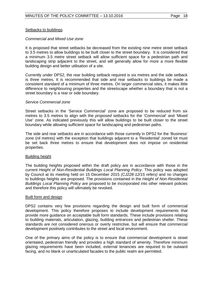#### Setbacks to buildings

#### *Commercial and Mixed Use zone*

It is proposed that street setbacks be decreased from the existing nine metre street setback to 3.5 metres to allow buildings to be built closer to the street boundary. It is considered that a minimum 3.5 metre street setback will allow sufficient space for a pedestrian path and landscaping strip adjacent to the street, and will generally allow for more a more flexible building design and better utilisation of a site.

Currently under DPS2, the rear building setback required is six metres and the side setback is three metres. It is recommended that side and rear setbacks to buildings be made a consistent standard of a minimum of three metres. On larger commercial sites, it makes little difference to neighbouring properties and the streetscape whether a boundary that is not a street boundary is a rear or side boundary.

#### *Service Commercial zone*

Street setbacks in the 'Service Commercial' zone are proposed to be reduced from six metres to 3.5 metres to align with the *proposed* setbacks for the 'Commercial' and 'Mixed Use' zone. As indicated previously this will allow buildings to be built closer to the street boundary while allowing sufficient space for landscaping and pedestrian paths.

The side and rear setbacks are in accordance with those currently in DPS2 for the 'Business' zone (nil metres) with the exception that buildings adjacent to a 'Residential' zoned lot must be set back three metres to ensure that development does not impose on residential properties.

#### Building height

The building heights proposed within the draft policy are in accordance with those in the current *Height of Non-Residential Buildings Local Planning Policy*. This policy was adopted by Council at its meeting held on 15 December 2015 *(CJ228-12/15 refers)* and no changes to buildings heights are proposed. The provisions contained in the *Height of Non-Residential Buildings Local Planning Policy* are proposed to be incorporated into other relevant policies and therefore this policy will ultimately be revoked.

#### Built form and design

DPS2 contains very few provisions regarding the design and built form of commercial development. This policy therefore proposes to include development requirements that provide more guidance on acceptable built form standards. These include provisions relating to building materials, articulation, glazing, building entrances and pedestrian shelter. These standards are not considered onerous or overly restrictive, but will ensure that commercial development positively contributes to the street and local environment.

One of the primary aims of the policy is to ensure that commercial development is street orientated, pedestrian friendly and provides a high standard of amenity. Therefore minimum glazing requirements have been included, external tenancies are required to be outward facing, and no blank or unarticulated facades to the public realm are permitted.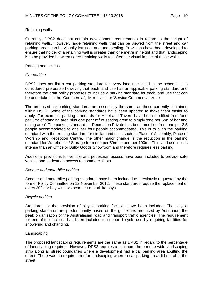# Retaining walls

Currently, DPS2 does not contain development requirements in regard to the height of retaining walls. However, large retaining walls that can be viewed from the street and car parking areas can be visually intrusive and unappealing. Provisions have been developed to ensure that no tier of a retaining wall is greater than one metre in height and that landscaping is to be provided between tiered retaining walls to soften the visual impact of those walls.

# Parking and access

# *Car parking*

DPS2 does not list a car parking standard for every land use listed in the scheme. It is considered preferable however, that each land use has an applicable parking standard and therefore the draft policy proposes to include a parking standard for each land use that can be undertaken in the 'Commercial', 'Mixed Use' or 'Service Commercial' zone.

The proposed car parking standards are essentially the same as those currently contained within DSP2. Some of the parking standards have been updated to make them easier to apply. For example, parking standards for Hotel and Tavern have been modified from 'one per  $3m^2$  of standing area plus one per  $5m^2$  of seating area' to simply 'one per  $5m^2$  of bar and dining area'. The parking standard for Recreation Private has been modified from one per 2.5 people accommodated to one per four people accommodated. This is to align the parking standard with the existing standard for similar land uses such as Place of Assembly, Place of Worship and Reception Centre. The other major change is the reduction in the parking standard for Warehouse / Storage from one per  $50m^2$  to one per 100 $m^2$ . This land use is less intense than an Office or Bulky Goods Showroom and therefore requires less parking.

Additional provisions for vehicle and pedestrian access have been included to provide safe vehicle and pedestrian access to commercial lots.

#### *Scooter and motorbike parking*

Scooter and motorbike parking standards have been included as previously requested by the former Policy Committee on 12 November 2012. These standards require the replacement of every 30<sup>th</sup> car bay with two scooter / motorbike bays.

# *Bicycle parking*

Standards for the provision of bicycle parking facilities have been included. The bicycle parking standards are predominantly based on the guidelines produced by Austroads, the peak organisation of the Australasian road and transport traffic agencies. The requirement for end-of-trip facilities has been included to support bicycle use by requiring facilities for showering and changing.

#### Landscaping

The proposed landscaping requirements are the same as DPS2 in regard to the percentage of landscaping required. However, DPS2 requires a minimum three metre wide landscaping strip along all street boundaries where a development had a car parking area abutting the street. There was no requirement for landscaping where a car parking area did not abut the street.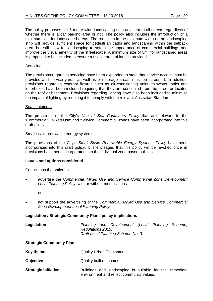The policy proposes a 1.5 metre wide landscaping strip adjacent to all streets regardless of whether there is a car parking area or not. The policy also includes the introduction of a minimum size for landscaped areas. The reduction in the minimum width of the landscaping strip will provide sufficient space for pedestrian paths and landscaping within the setback area, but still allow for landscaping to soften the appearance of commercial buildings and improve the visual amenity of the streetscape. A minimum size of  $3m<sup>2</sup>$  for landscaped areas is proposed to be included to ensure a usable area of land is provided.

# **Servicing**

The provisions regarding servicing have been expanded to state that service access must be provided and service yards, as well as bin storage areas, must be screened. In addition, provisions regarding external fixtures such as air-conditioning units, rainwater tanks and letterboxes have been included requiring that they are concealed from the street or located on the roof or basement. Provisions regarding lighting have also been included to minimise the impact of lighting by requiring it to comply with the relevant Australian Standards.

# Sea containers

The provisions of the City's *Use of Sea Containers Policy* that are relevant to the 'Commercial', 'Mixed Use' and 'Service Commercial' zones have been incorporated into this draft policy.

# Small scale renewable energy systems

The provisions of the City's *Small Scale Renewable Energy Systems Policy* have been incorporated into this draft policy. It is envisaged that this policy will be revoked once all provisions have been incorporated into the individual zone based policies.

# **Issues and options considered**

Council has the option to:

• advertise the *Commercial, Mixed Use and Service Commercial Zone Development Local Planning Policy*, with or without modifications

or

• not support the advertising of the *Commercial, Mixed Use and Service Commercial Zone Development Local Planning Policy*.

# **Legislation / Strategic Community Plan / policy implications**

| Legislation                     | Planning and Development (Local Planning Scheme)<br>Regulations 2015.<br>Draft Local Planning Scheme No. 3. |  |
|---------------------------------|-------------------------------------------------------------------------------------------------------------|--|
| <b>Strategic Community Plan</b> |                                                                                                             |  |
| <b>Key theme</b>                | <b>Quality Urban Environment.</b>                                                                           |  |
| <b>Objective</b>                | Quality built outcomes.                                                                                     |  |
|                                 |                                                                                                             |  |

**Strategic initiative Buildings** and landscaping is suitable for the immediate environment and reflect community values.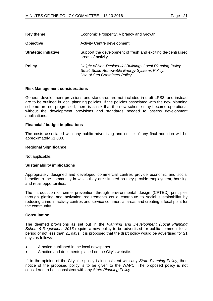| ane | × |
|-----|---|
|     |   |

| Key theme                   | Economic Prosperity, Vibrancy and Growth.                                                                                                   |
|-----------------------------|---------------------------------------------------------------------------------------------------------------------------------------------|
| <b>Objective</b>            | Activity Centre development.                                                                                                                |
| <b>Strategic initiative</b> | Support the development of fresh and exciting de-centralised<br>areas of activity.                                                          |
| <b>Policy</b>               | Height of Non-Residential Buildings Local Planning Policy.<br>Small Scale Renewable Energy Systems Policy.<br>Use of Sea Containers Policy. |

#### **Risk Management considerations**

General development provisions and standards are not included in draft LPS3, and instead are to be outlined in local planning policies. If the policies associated with the new planning scheme are not progressed, there is a risk that the new scheme may become operational without the development provisions and standards needed to assess development applications.

#### **Financial / budget implications**

The costs associated with any public advertising and notice of any final adoption will be approximately \$1,000.

#### **Regional Significance**

Not applicable.

#### **Sustainability implications**

Appropriately designed and developed commercial centres provide economic and social benefits to the community in which they are situated as they provide employment, housing and retail opportunities.

The introduction of crime prevention through environmental design (CPTED) principles through glazing and activation requirements could contribute to social sustainability by reducing crime in activity centres and service commercial areas and creating a focal point for the community.

#### **Consultation**

The deemed provisions as set out in the *Planning and Development (Local Planning Scheme) Regulations 2015* require a new policy to be advertised for public comment for a period of not less than 21 days. It is proposed that the draft policy would be advertised for 21 days as follows:

- A notice published in the local newspaper.
- A notice and documents placed on the City's website.

If, in the opinion of the City, the policy is inconsistent with any *State Planning Policy*, then notice of the proposed policy is to be given to the WAPC. The proposed policy is not considered to be inconsistent with any *State Planning Policy*.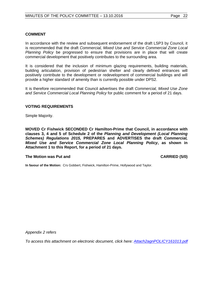# **COMMENT**

In accordance with the review and subsequent endorsement of the draft LSP3 by Council, it is recommended that the draft *Commercial, Mixed Use and Service Commercial Zone Local Planning Policy* be progressed to ensure that provisions are in place that will create commercial development that positively contributes to the surrounding area.

It is considered that the inclusion of minimum glazing requirements, building materials, building articulation, provision of pedestrian shelter and clearly defined entrances will positively contribute to the development or redevelopment of commercial buildings and will provide a higher standard of amenity than is currently possible under DPS2.

It is therefore recommended that Council advertises the draft *Commercial, Mixed Use Zone and Service Commercial Local Planning Policy* for public comment for a period of 21 days.

#### **VOTING REQUIREMENTS**

Simple Majority.

**MOVED Cr Fishwick SECONDED Cr Hamilton-Prime that Council, in accordance with clauses 3, 4 and 5 of Schedule 2 of the** *Planning and Development (Local Planning Schemes) Regulations 2015,* **PREPARES and ADVERTISES the draft** *Commercial, Mixed Use and Service Commercial Zone Local Planning Policy***, as shown in Attachment 1 to this Report, for a period of 21 days.**

#### **The Motion was Put and CARRIED (5/0)**

**In favour of the Motion:** Crs Gobbert, Fishwick, Hamilton-Prime, Hollywood and Taylor.

*Appendix 2 refers*

<span id="page-21-0"></span>*[To access this attachment on electronic document, click here:](http://www.joondalup.wa.gov.au/files/committees/POLI/2016/Attach2agnPOLICY161013.pdf) Attach2agnPOLICY161013.pdf*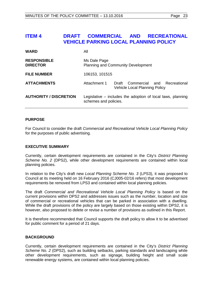# **ITEM 4 DRAFT COMMERCIAL AND RECREATIONAL VEHICLE PARKING LOCAL PLANNING POLICY**

| <b>WARD</b>                           | All                                                                                  |                                                                           |  |  |  |  |
|---------------------------------------|--------------------------------------------------------------------------------------|---------------------------------------------------------------------------|--|--|--|--|
| <b>RESPONSIBLE</b><br><b>DIRECTOR</b> | Ms Dale Page<br><b>Planning and Community Development</b>                            |                                                                           |  |  |  |  |
| <b>FILE NUMBER</b>                    | 106153, 101515                                                                       |                                                                           |  |  |  |  |
| <b>ATTACHMENTS</b>                    | Attachment 1                                                                         | Draft Commercial and Recreational<br><b>Vehicle Local Planning Policy</b> |  |  |  |  |
| <b>AUTHORITY / DISCRETION</b>         | Legislative – includes the adoption of local laws, planning<br>schemes and policies. |                                                                           |  |  |  |  |

# **PURPOSE**

For Council to consider the draft *Commercial and Recreational Vehicle Local Planning Policy* for the purposes of public advertising.

# **EXECUTIVE SUMMARY**

Currently, certain development requirements are contained in the City's *District Planning Scheme No. 2* (DPS2), while other development requirements are contained within local planning policies.

In relation to the City's draft new *Local Planning Scheme No. 3* (LPS3), it was proposed to Council at its meeting held on 16 February 2016 (CJ005-02/16 refers) that most development requirements be removed from LPS3 and contained within local planning policies.

The draft *Commercial and Recreational Vehicle Local Planning Policy* is based on the current provisions within DPS2 and addresses issues such as the number, location and size of commercial or recreational vehicles that can be parked in association with a dwelling. While the draft provisions of the policy are largely based on those existing within DPS2, it is however, also proposed to delete or revise a number of provisions as outlined in this Report.

It is therefore recommended that Council supports the draft policy to allow it to be advertised for public comment for a period of 21 days.

# **BACKGROUND**

Currently, certain development requirements are contained in the City's *District Planning Scheme No. 2* (DPS2), such as building setbacks, parking standards and landscaping while other development requirements, such as signage, building height and small scale renewable energy systems, are contained within local planning policies.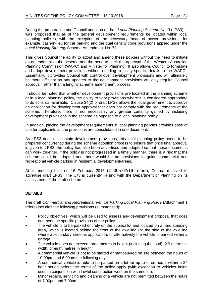During the preparation and Council adoption of draft *Local Planning Scheme No. 3* (LPS3), it was proposed that all of the general development requirements be located within local planning policies, with the exception of the necessary 'head of power' provisions, for example, cash-in-lieu for car parking and the dual density code provisions applied under the *Local Housing Strategy* Scheme Amendment No. 73.

This gives Council the ability to adopt and amend these policies without the need to initiate an amendment to the scheme and the need to seek the approval of the Western Australian Planning Commission (WAPC) and Minister for Planning. It also allows Council to formulate and adopt development provisions without needing to justify specific details to the WAPC. Essentially, it provides Council with control over development provisions and will ultimately be more efficient as any updates to the development provisions will only require Council approval, rather than a lengthy scheme amendment process.

It should be noted that whether development provisions are located in the planning scheme or in a local planning policy, the ability to vary provisions where it is considered appropriate to do so is still available. Clause 34(2) of draft LPS3 allows the local government to approve an application for development approval that does not comply with the requirements of the scheme. Therefore, there is not necessarily any greater certainty gained by including development provisions in the scheme as opposed to a local planning policy.

In addition, placing the development requirements in local planning policies provides ease of use for applicants as the provisions are consolidated in one document.

As LPS3 does not contain development provisions, this local planning policy needs to be prepared concurrently during the scheme adoption process to ensure that once final approval is given to LPS3, the policy has also been advertised and adopted so that these documents can work together. If the policy is not progressed in a timely manner, there is a risk that the scheme could be adopted and there would be no provisions to guide commercial and recreational vehicle parking in residential development/areas.

At its meeting held on 16 February 2016 (CJ005-02/16 refers), Council resolved to advertise draft LPS3. The City is currently liaising with the Department of Planning on its assessment of the draft scheme.

# **DETAILS**

The draft *Commercial and Recreational Vehicle Parking Local Planning Policy* (Attachment 1 refers) includes the following provisions (summarised):

- Policy objectives, which will be used to assess any development proposal that does not meet the specific provisions of the policy.
- The vehicle is to be parked entirely on the subject lot and located on a hard standing area, which is located behind the front of the dwelling (or the side of the dwelling where a secondary street is applicable), or alternatively the vehicle is parked within a garage.
- The vehicle does not exceed three metres in height (including the load), 2.5 metres in width, or eight metres in length.
- A commercial vehicle is not to be started or manoeuvred on site between the hours of 10.00pm and 6.00am the following day.
- A commercial vehicle is able to be parked on a lot for up to three hours within a 24 hour period before the terms of the policy apply (with exception to vehicles being used in conjunction with lawful construction work on the same lot).
- Minor repairs, servicing and cleaning of a vehicle are not permitted between the hours of 7.00pm and 7.00am.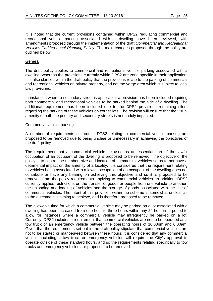It is noted that the current provisions contained within DPS2 regulating commercial and recreational vehicle parking associated with a dwelling have been reviewed, with amendments proposed through the implementation of the draft *Commercial and Recreational Vehicles Parking Local Planning Policy.* The main changes proposed through the policy are outlined below.

#### General

The draft policy applies to commercial and recreational vehicle parking associated with a dwelling, whereas the provisions currently within DPS2 are zone specific in their application. It is also clarified within the draft policy that the provisions relate to the parking of commercial and recreational vehicles on private property, and not the verge area which is subject to local law provisions.

In instances where a secondary street is applicable, a provision has been included requiring both commercial and recreational vehicles to be parked behind the side of a dwelling. The additional requirement has been included due to the DPS2 provisions remaining silent regarding the parking of these vehicles on corner lots. The revision will ensure that the visual amenity of both the primary and secondary streets is not unduly impacted.

#### Commercial vehicle parking

A number of requirements set out in DPS2 relating to commercial vehicle parking are proposed to be removed due to being unclear or unnecessary in achieving the objectives of the draft policy.

The requirement that a commercial vehicle be used as an essential part of the lawful occupation of an occupant of the dwelling is proposed to be removed. The objective of the policy is to control the number, size and location of commercial vehicles so as to not have a detrimental impact on the amenity of a locality. It is considered that the requirement relating to vehicles being associated with a lawful occupation of an occupant of the dwelling does not contribute or have any bearing on achieving this objective and so it is proposed to be removed from the policy requirements applying to commercial vehicles. In addition, DPS2 currently applies restrictions on the transfer of goods or people from one vehicle to another, the unloading and loading of vehicles and the storage of goods associated with the use of commercial vehicles. The intent of this provision within the scheme is somewhat unclear as to the outcome it is aiming to achieve, and is therefore proposed to be removed.

The allowable time for which a commercial vehicle may be parked on a lot associated with a dwelling has been increased from one hour to three hours within any 24 hour time period to allow for instances where a commercial vehicle may infrequently be parked on a lot. Currently, DPS2 includes a requirement that commercial vehicles are not to be operated as a tow truck or an emergency vehicle between the operating hours of 10.00pm and 6.00am. Given that the requirements set out in the draft policy stipulate that commercial vehicles are not to be started or manoeuvred between these hours, it is considered that any commercial vehicle, including a tow truck or emergency vehicles will require the City's approval to operate outside of these standard hours, and so the requirements relating specifically to tow trucks and emergency vehicles are proposed to be removed.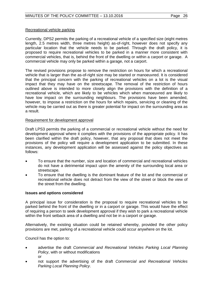# Recreational vehicle parking

Currently, DPS2 permits the parking of a recreational vehicle of a specified size (eight metres length, 2.5 metres width, three metres height) as-of-right, however does not specify any particular location that the vehicle needs to be parked. Through the draft policy, it is proposed to require recreational vehicles to be parked in a manner more consistent with commercial vehicles, that is, behind the front of the dwelling or within a carport or garage. A commercial vehicle may only be parked within a garage, not a carport.

The revised provisions propose to remove the restriction on hours for which a recreational vehicle that is larger than the as-of-right size may be started or manoeuvred. It is considered that the principal concern with the parking of recreational vehicles on a lot is the visual impact that they may have on the streetscape. The removal of the restriction of hours outlined above is intended to more closely align the provisions with the definition of a recreational vehicle, which are likely to be vehicles which when manoeuvred are likely to have low impact on the surrounding neighbours. The provisions have been amended, however, to impose a restriction on the hours for which repairs, servicing or cleaning of the vehicle may be carried out as there is greater potential for impact on the surrounding area as a result.

# Requirement for development approval

Draft LPS3 permits the parking of a commercial or recreational vehicle without the need for development approval where it complies with the provisions of the appropriate policy. It has been clarified within the draft policy, however, that any proposal that does not meet the provisions of the policy will require a development application to be submitted. In these instances, any development application will be assessed against the policy objectives as follows:

- To ensure that the number, size and location of commercial and recreational vehicles do not have a detrimental impact upon the amenity of the surrounding local area or streetscape.
- To ensure that the dwelling is the dominant feature of the lot and the commercial or recreational vehicle does not detract from the view of the street or block the view of the street from the dwelling.

# **Issues and options considered**

A principal issue for consideration is the proposal to require recreational vehicles to be parked behind the front of the dwelling or in a carport or garage. This would have the effect of requiring a person to seek development approval if they wish to park a recreational vehicle within the front setback area of a dwelling and not be in a carport or garage.

Alternatively, the existing situation could be retained whereby, provided the other policy provisions are met, parking of a recreational vehicle could occur anywhere on the lot.

Council has the option to:

- advertise the draft *Commercial and Recreational Vehicles Parking Local Planning Policy*, with or without modifications or
- not support the advertising of the draft *Commercial and Recreational Vehicles Parking Local Planning Policy*.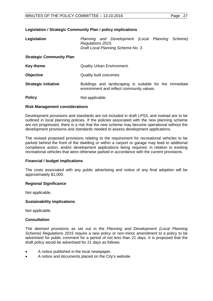# **Legislation / Strategic Community Plan / policy implications**

| Legislation                     | Planning and Development (Local Planning Scheme)<br>Regulations 2015.<br>Draft Local Planning Scheme No. 3. |  |  |  |  |  |  |
|---------------------------------|-------------------------------------------------------------------------------------------------------------|--|--|--|--|--|--|
| <b>Strategic Community Plan</b> |                                                                                                             |  |  |  |  |  |  |
| <b>Key theme</b>                | <b>Quality Urban Environment.</b>                                                                           |  |  |  |  |  |  |
| <b>Objective</b>                | Quality built outcomes.                                                                                     |  |  |  |  |  |  |
| <b>Strategic initiative</b>     | Buildings and landscaping is suitable for the immediate<br>environment and reflect community values.        |  |  |  |  |  |  |
| <b>Policy</b>                   | Not applicable.                                                                                             |  |  |  |  |  |  |

#### **Risk Management considerations**

Development provisions and standards are not included in draft LPS3, and instead are to be outlined in local planning policies. If the policies associated with the new planning scheme are not progressed, there is a risk that the new scheme may become operational without the development provisions and standards needed to assess development applications.

The revised proposed provisions relating to the requirement for recreational vehicles to be parked behind the front of the dwelling or within a carport or garage may lead to additional compliance action, and/or development applications being required, in relation to existing recreational vehicles that were otherwise parked in accordance with the current provisions.

# **Financial / budget implications**

The costs associated with any public advertising and notice of any final adoption will be approximately \$1,000.

#### **Regional Significance**

Not applicable.

#### **Sustainability implications**

Not applicable.

#### **Consultation**

The deemed provisions as set out in the *Planning and Development (Local Planning Scheme) Regulations 2015* require a new policy or non-minor amendment to a policy to be advertised for public comment for a period of not less than 21 days. It is proposed that the draft policy would be advertised for 21 days as follows:

- A notice published in the local newspaper.
- A notice and documents placed on the City's website.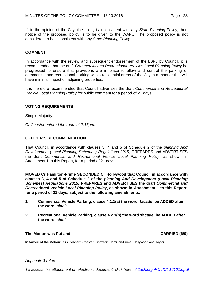If, in the opinion of the City, the policy is inconsistent with any *State Planning Policy*, then notice of the proposed policy is to be given to the WAPC. The proposed policy is not considered to be inconsistent with any *State Planning Policy.*

# **COMMENT**

In accordance with the review and subsequent endorsement of the LSP3 by Council, it is recommended that the draft *Commercial and Recreational Vehicle*s *Local Planning Policy* be progressed to ensure that provisions are in place to allow and control the parking of commercial and recreational parking within residential areas of the City in a manner that will have minimal impact on adjoining properties.

It is therefore recommended that Council advertises the draft *Commercial and Recreational Vehicle Local Planning Policy* for public comment for a period of 21 days.

# **VOTING REQUIREMENTS**

Simple Majority.

*Cr Chester entered the room at 7.13pm.*

#### **OFFICER'S RECOMMENDATION**

That Council, in accordance with clauses 3, 4 and 5 of Schedule 2 of the *planning And Development (Local Planning Schemes) Regulations 2015, PREPARES and ADVERTISES* the draft *Commercial and Recreational Vehicle Local Planning Policy*, as shown in Attachment 1 to this Report, for a period of 21 days.

**MOVED Cr Hamilton-Prime SECONDED Cr Hollywood that Council in accordance with clauses 3, 4 and 5 of Schedule 2 of the** *planning And Development (Local Planning Schemes) Regulations 2015,* **PREPARES and ADVERTISES the draft** *Commercial and Recreational Vehicle Local Planning Policy***, as shown in Attachment 1 to this Report, for a period of 21 days, subject to the following amendments:**

- **1 Commercial Vehicle Parking, clause 4.1.1(a) the word '***facade'* **be ADDED after the word '***side'***;**
- **2 Recreational Vehicle Parking, clause 4.2.1(b) the word '***facade'* **be ADDED after the word '***side'***.**

#### **The Motion was Put and CARRIED (6/0)**

**In favour of the Motion:** Crs Gobbert, Chester, Fishwick, Hamilton-Prime, Hollywood and Taylor.

#### *Appendix 3 refers*

*[To access this attachment on electronic document, click here: Attach3agnPOLICY161013.pdf](http://www.joondalup.wa.gov.au/files/committees/POLI/2016/Attach3agnPOLICY161013.pdf)*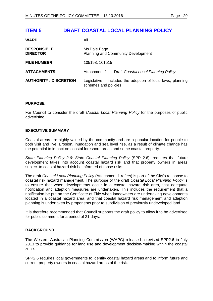# <span id="page-28-0"></span>**ITEM 5 DRAFT COASTAL LOCAL PLANNING POLICY**

| <b>WARD</b>                           | All                                                                                    |                                     |  |  |
|---------------------------------------|----------------------------------------------------------------------------------------|-------------------------------------|--|--|
| <b>RESPONSIBLE</b><br><b>DIRECTOR</b> | Ms Dale Page<br><b>Planning and Community Development</b>                              |                                     |  |  |
| <b>FILE NUMBER</b>                    | 105198, 101515                                                                         |                                     |  |  |
| <b>ATTACHMENTS</b>                    | Attachment 1                                                                           | Draft Coastal Local Planning Policy |  |  |
| <b>AUTHORITY / DISCRETION</b>         | Legislative $-$ includes the adoption of local laws, planning<br>schemes and policies. |                                     |  |  |

# **PURPOSE**

For Council to consider the draft *Coastal Local Planning Policy* for the purposes of public advertising.

# **EXECUTIVE SUMMARY**

Coastal areas are highly valued by the community and are a popular location for people to both visit and live. Erosion, inundation and sea level rise, as a result of climate change has the potential to impact on coastal foreshore areas and some coastal property.

*State Planning Policy 2.6: State Coastal Planning Policy* (SPP 2.6), requires that future development takes into account coastal hazard risk and that property owners in areas subject to coastal hazard risk be informed of those risks.

The draft *Coastal Local Planning Policy* (Attachment 1 refers) is part of the City's response to coastal risk hazard management. The purpose of the draft *Coastal Local Planning Policy* is to ensure that when developments occur in a coastal hazard risk area, that adequate notification and adaption measures are undertaken. This includes the requirement that a notification be put on the Certificate of Title when landowners are undertaking developments located in a coastal hazard area, and that coastal hazard risk management and adaption planning is undertaken by proponents prior to subdivision of previously undeveloped land.

It is therefore recommended that Council supports the draft policy to allow it to be advertised for public comment for a period of 21 days.

# **BACKGROUND**

The Western Australian Planning Commission (WAPC) released a revised SPP2.6 in July 2013 to provide guidance for land use and development decision-making within the coastal zone.

SPP2.6 requires local governments to identify coastal hazard areas and to inform future and current property owners in coastal hazard areas of the risk.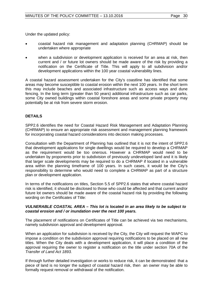Under the updated policy:

- coastal hazard risk management and adaptation planning (CHRMAP) should be undertaken where appropriate
- when a subdivision or development application is received for an area at risk, then current and / or future lot owners should be made aware of the risk by providing a notification on the Certificate of Title. This will apply to all subdivision and/or development applications within the 100 year coastal vulnerability lines.

A coastal hazard assessment undertaken for the City's coastline has identified that some areas may become susceptible to coastal erosion within the next 100 years. In the short term this may include beaches and associated infrastructure such as access ways and dune fencing. In the long term (greater than 50 years) additional infrastructure such as car parks, some City owned buildings within coastal foreshore areas and some private property may potentially be at risk from severe storm erosion.

# **DETAILS**

SPP2.6 identifies the need for Coastal Hazard Risk Management and Adaptation Planning (CHRMAP) to ensure an appropriate risk assessment and management planning framework for incorporating coastal hazard considerations into decision making processes.

Consultation with the Department of Planning has outlined that it is not the intent of SPP2.6 that development applications for single dwellings would be required to develop a CHRMAP as the requirement would be too onerous. However a CHRMAP would need to be undertaken by proponents prior to subdivision of previously undeveloped land and it is likely that larger scale developments may be required to do a CHRMAP if located in a vulnerable area within the planning timeframe of 100 years. In such cases, it would be the City's responsibility to determine who would need to complete a CHRMAP as part of a structure plan or development application.

In terms of the notifications on titles, Section 5.5 of SPP2.6 states that where coastal hazard risk is identified, it should be disclosed to those who could be affected and that current and/or future lot owners should be made aware of the coastal hazard risk by providing the following wording on the Certificates of Title:

#### *VULNERABLE COASTAL AREA – This lot is located in an area likely to be subject to coastal erosion and / or inundation over the next 100 years.*

The placement of notifications on Certificates of Title can be achieved via two mechanisms, namely subdivision approval and development approval.

When an application for subdivision is received by the City, the City will request the WAPC to impose a condition on the subdivision approval requiring notifications to be placed on all new titles. When the City deals with a development application, it will place a condition of the approval requiring the owner to register a notification on the title under section 70A of the *Transfer of Land Act 1893.*

If through further detailed investigation or works to reduce risk, it can be demonstrated that a piece of land is no longer the subject of coastal hazard risk, then an owner may be able to formally request removal or withdrawal of the notification.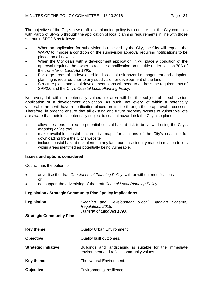The objective of the City's new draft local planning policy is to ensure that the City complies with Part 5 of SPP2.6 through the application of local planning requirements in line with those set out in SPP2.6 as follows:

- When an application for subdivision is received by the City, the City will request the WAPC to impose a condition on the subdivision approval requiring notifications to be placed on all new titles.
- When the City deals with a development application, it will place a condition of the approval requiring the owner to register a notification on the title under section 70A of the *Transfer of Land Act 1893.*
- For large areas of undeveloped land, coastal risk hazard management and adaption planning is required prior to any subdivision or development of the land.
- Structure plans and local development plans will need to address the requirements of SPP2.6 and the City's *Coastal Local Planning Policy*.

Not every lot within a potentially vulnerable area will be the subject of a subdivision application or a development application. As such, not every lot within a potentially vulnerable area will have a notification placed on its title through these approval processes. Therefore, in order to ensure that all existing and future property owners of vulnerable lots are aware that their lot is potentially subject to coastal hazard risk the City also plans to:

- allow the areas subject to potential coastal hazard risk to be viewed using the City's *mapping online* tool
- make available coastal hazard risk maps for sections of the City's coastline for downloading from the City's website
- include coastal hazard risk alerts on any land purchase inquiry made in relation to lots within areas identified as potentially being vulnerable.

# **Issues and options considered**

Council has the option to:

- advertise the draft *Coastal Local Planning Policy*, with or without modifications or
- not support the advertising of the draft *Coastal Local Planning Policy*.

# **Legislation / Strategic Community Plan / policy implications**

| Legislation<br><b>Strategic Community Plan</b> | Planning and Development (Local Planning Scheme)<br>Regulations 2015.<br>Transfer of Land Act 1893.  |  |  |  |  |
|------------------------------------------------|------------------------------------------------------------------------------------------------------|--|--|--|--|
|                                                |                                                                                                      |  |  |  |  |
| <b>Key theme</b>                               | <b>Quality Urban Environment.</b>                                                                    |  |  |  |  |
| <b>Objective</b>                               | Quality built outcomes.                                                                              |  |  |  |  |
| <b>Strategic initiative</b>                    | Buildings and landscaping is suitable for the immediate<br>environment and reflect community values. |  |  |  |  |
| <b>Key theme</b>                               | The Natural Environment.                                                                             |  |  |  |  |
| <b>Objective</b>                               | Environmental resilience.                                                                            |  |  |  |  |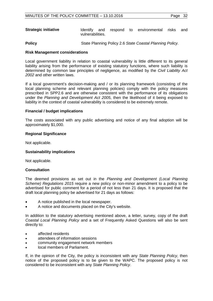| <b>Strategic initiative</b> | <b>Identify</b>  |  |  | and respond to environmental risks and |  |
|-----------------------------|------------------|--|--|----------------------------------------|--|
|                             | vulnerabilities. |  |  |                                        |  |

**Policy** State Planning Policy 2.6 *State Coastal Planning Policy.*

#### **Risk Management considerations**

Local government liability in relation to coastal vulnerability is little different to its general liability arising from the performance of existing statutory functions, where such liability is determined by common law principles of negligence, as modified by the *Civil Liability Act 2002* and other written laws.

If a local government's decision-making and / or its planning framework (consisting of the local planning scheme and relevant planning policies) comply with the policy measures prescribed in SPP2.6 and are otherwise consistent with the performance of its obligations under the *Planning and Development Act 2005*, then the likelihood of it being exposed to liability in the context of coastal vulnerability is considered to be extremely remote.

#### **Financial / budget implications**

The costs associated with any public advertising and notice of any final adoption will be approximately \$1,000.

#### **Regional Significance**

Not applicable.

#### **Sustainability implications**

Not applicable.

#### **Consultation**

The deemed provisions as set out in the *Planning and Development (Local Planning Scheme) Regulations 2015* require a new policy or non-minor amendment to a policy to be advertised for public comment for a period of not less than 21 days. It is proposed that the draft local planning policy be advertised for 21 days as follows:

- A notice published in the local newspaper.
- A notice and documents placed on the City's website.

In addition to the statutory advertising mentioned above, a letter, survey, copy of the draft *Coastal Local Planning Policy* and a set of Frequently Asked Questions will also be sent directly to:

- affected residents
- attendees of information sessions
- community engagement network members
- local members of Parliament.

If, in the opinion of the City, the policy is inconsistent with any *State Planning Policy*, then notice of the proposed policy is to be given to the WAPC. The proposed policy is not considered to be inconsistent with any *State Planning Policy*.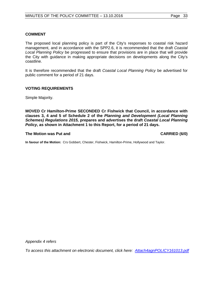# **COMMENT**

The proposed local planning policy is part of the City's responses to coastal risk hazard management, and in accordance with the SPP2.6, it is recommended that the draft *Coastal Local Planning Policy* be progressed to ensure that provisions are in place that will provide the City with guidance in making appropriate decisions on developments along the City's coastline.

It is therefore recommended that the draft *Coastal Local Planning Policy* be advertised for public comment for a period of 21 days.

#### **VOTING REQUIREMENTS**

Simple Majority.

**MOVED Cr Hamilton-Prime SECONDED Cr Fishwick that Council, in accordance with clauses 3, 4 and 5 of Schedule 2 of the** *Planning and Development (Local Planning Schemes) Regulations 2015,* **prepares and advertises the draft** *Coastal Local Planning Policy***, as shown in Attachment 1 to this Report, for a period of 21 days.**

#### **The Motion was Put and CARRIED (6/0)**

**In favour of the Motion:** Crs Gobbert, Chester, Fishwick, Hamilton-Prime, Hollywood and Taylor.

*Appendix 4 refers*

*[To access this attachment on electronic document, click here: Attach4agnPOLICY161013.pdf](http://www.joondalup.wa.gov.au/files/committees/POLI/2016/Attach4agnPOLICY161013.pdf)*